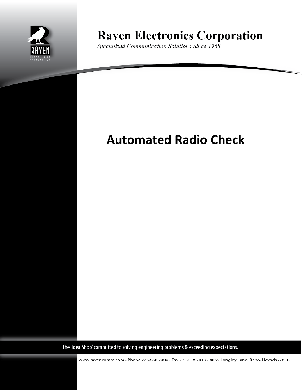

**Raven Electronics Corporation** 

Specialized Communication Solutions Since 1968

# **Automated Radio Check**

The 'Idea Shop' committed to solving engineering problems & exceeding expectations.

www.ravencomm.com • Phone 775.858.2400 • Fax 775.858.2410 • 4655 Longley Lane• Reno, Nevada 89502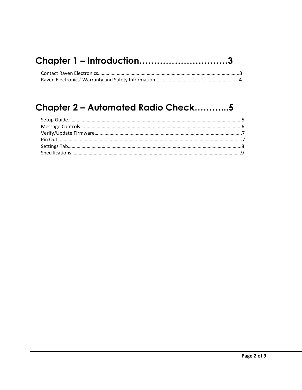|  |  | Chapter 1 - Introduction3 |  |
|--|--|---------------------------|--|
|--|--|---------------------------|--|

## **Chapter 2 – Automated Radio Check………...5**

<span id="page-1-0"></span>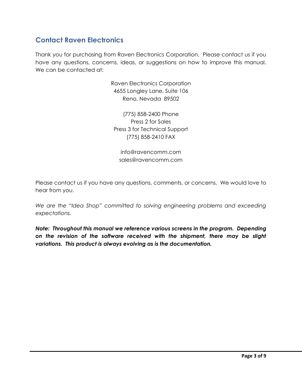### **Contact Raven Electronics**

Thank you for purchasing from Raven Electronics Corporation. Please contact us if you have any questions, concerns, ideas, or suggestions on how to improve this manual. We can be contacted at:

> Raven Electronics Corporation 4655 Longley Lane, Suite 106 Reno, Nevada 89502

(775) 858-2400 Phone Press 2 for Sales Press 3 for Technical Support (775) 858-2410 FAX

info@ravencomm.com sales@ravencomm.com

Please contact us if you have any questions, comments, or concerns. We would love to hear from you.

We are the "Idea Shop" committed to solving engineering problems and exceeding *expectations.*

<span id="page-2-0"></span>*Note: Throughout this manual we reference various screens in the program. Depending on the revision of the software received with the shipment, there may be slight variations. This product is always evolving as is the documentation.*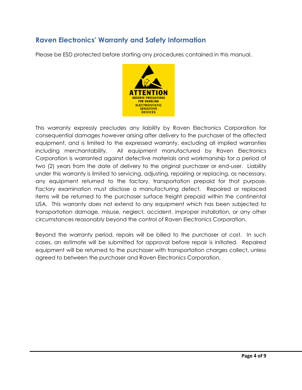### **Raven Electronics' Warranty and Safety Information**

Please be ESD protected before starting any procedures contained in this manual.



This warranty expressly precludes any liability by Raven Electronics Corporation for consequential damages however arising after delivery to the purchaser of the affected equipment, and is limited to the expressed warranty, excluding all implied warranties including merchantability. All equipment manufactured by Raven Electronics Corporation is warranted against defective materials and workmanship for a period of two (2) years from the date of delivery to the original purchaser or end-user. Liability under this warranty is limited to servicing, adjusting, repairing or replacing, as necessary, any equipment returned to the factory, transportation prepaid for that purpose. Factory examination must disclose a manufacturing defect. Repaired or replaced items will be returned to the purchaser surface freight prepaid within the continental USA. This warranty does not extend to any equipment which has been subjected to transportation damage, misuse, neglect, accident, improper installation, or any other circumstances reasonably beyond the control of Raven Electronics Corporation.

Beyond the warranty period, repairs will be billed to the purchaser at cost. In such cases, an estimate will be submitted for approval before repair is initiated. Repaired equipment will be returned to the purchaser with transportation charges collect, unless agreed to between the purchaser and Raven Electronics Corporation.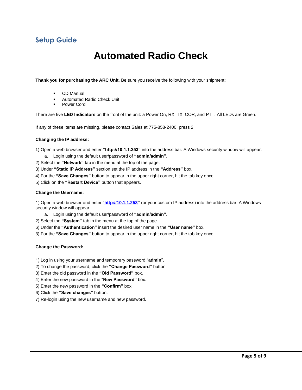### **Setup Guide**

## **Automated Radio Check**

**Thank you for purchasing the ARC Unit.** Be sure you receive the following with your shipment:

- CD Manual
- Automated Radio Check Unit
- Power Cord

There are five **LED Indicators** on the front of the unit: a Power On, RX, TX, COR, and PTT. All LEDs are Green.

If any of these items are missing, please contact Sales at 775-858-2400, press 2.

#### **Changing the IP address:**

1) Open a web browser and enter **"http://10.1.1.253"** into the address bar. A Windows security window will appear. a. Login using the default user/password of **"admin/admin"**.

- 2) Select the **"Network"** tab in the menu at the top of the page.
- 3) Under **"Static IP Address"** section set the IP address in the **"Address"** box.
- 4) For the **"Save Changes"** button to appear in the upper right corner, hit the tab key once.
- 5) Click on the **"Restart Device"** button that appears.

#### **Change the Username:**

1) Open a web browser and enter "**[http://10.1.1.253"](http://10.1.1.253/)** (or your custom IP address) into the address bar. A Windows security window will appear.

- a. Login using the default user/password of **"admin/admin"**.
- 2) Select the **"System"** tab in the menu at the top of the page.

6) Under the **"Authentication"** insert the desired user name in the **"User name"** box.

3) For the **"Save Changes"** button to appear in the upper right corner, hit the tab key once.

#### **Change the Password:**

- 1) Log in using your username and temporary password "**admin**".
- 2) To change the password, click the **"Change Password"** button.
- 3) Enter the old password in the **"Old Password"** box.
- 4) Enter the new password in the "**New Password"** box.
- 5) Enter the new password in the **"Confirm"** box.
- 6) Click the **"Save changes"** button.
- 7) Re-login using the new username and new password.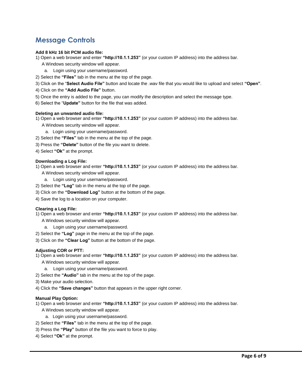### **Message Controls**

### **Add 8 kHz 16 bit PCM audio file:**

- 1) Open a web browser and enter **"http://10.1.1.253"** (or your custom IP address) into the address bar.
	- A Windows security window will appear.
	- a. Login using your username/password.
- 2) Select the **"Files"** tab in the menu at the top of the page.
- 3) Click on the "**Select Audio File"** button and locate the .wav file that you would like to upload and select **"Open"**.
- 4) Click on the **"Add Audio File"** button.
- 5) Once the entry is added to the page, you can modify the description and select the message type.
- 6) Select the "**Update"** button for the file that was added.

#### **Deleting an unwanted audio file:**

- 1) Open a web browser and enter **"http://10.1.1.253"** (or your custom IP address) into the address bar.
	- A Windows security window will appear.
		- a. Login using your username/password.
- 2) Select the **"Files"** tab in the menu at the top of the page.
- 3) Press the **"Delete"** button of the file you want to delete.
- 4) Select **"Ok"** at the prompt.

### **Downloading a Log File:**

- 1) Open a web browser and enter **"http://10.1.1.253"** (or your custom IP address) into the address bar.
	- A Windows security window will appear.
	- a. Login using your username/password.
- 2) Select the **"Log"** tab in the menu at the top of the page.
- 3) Click on the **"Download Log"** button at the bottom of the page.
- 4) Save the log to a location on your computer.

#### **Clearing a Log File:**

- 1) Open a web browser and enter **"http://10.1.1.253"** (or your custom IP address) into the address bar.
	- A Windows security window will appear.
	- a. Login using your username/password.
- 2) Select the **"Log"** page in the menu at the top of the page.
- 3) Click on the **"Clear Log"** button at the bottom of the page.

### **Adjusting COR or PTT:**

- 1) Open a web browser and enter **"http://10.1.1.253"** (or your custom IP address) into the address bar. A Windows security window will appear.
	- a. Login using your username/password.
- 2) Select the **"Audio"** tab in the menu at the top of the page.
- 3) Make your audio selection.
- 4) Click the **"Save changes"** button that appears in the upper right corner.

### **Manual Play Option:**

1) Open a web browser and enter **"http://10.1.1.253"** (or your custom IP address) into the address bar.

- A Windows security window will appear.
	- a. Login using your username/password.
- 2) Select the **"Files"** tab in the menu at the top of the page.
- 3) Press the **"Play"** button of the file you want to force to play.
- 4) Select **"Ok"** at the prompt.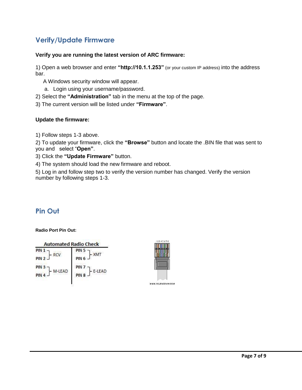### **Verify/Update Firmware**

### **Verify you are running the latest version of ARC firmware:**

1) Open a web browser and enter **"http://10.1.1.253"** (or your custom IP address) into the address bar.

A Windows security window will appear.

a. Login using your username/password.

2) Select the **"Administration"** tab in the menu at the top of the page.

3) The current version will be listed under **"Firmware"**.

### **Update the firmware:**

1) Follow steps 1-3 above.

2) To update your firmware, click the **"Browse"** button and locate the .BIN file that was sent to you and select "**Open"**.

3) Click the **"Update Firmware"** button.

4) The system should load the new firmware and reboot.

5) Log in and follow step two to verify the version number has changed. Verify the version number by following steps 1-3.

### **Pin Out**

### **Radio Port Pin Out:**

| <b>Automated Radio Check</b>   |                            |
|--------------------------------|----------------------------|
| PIN <sub>1</sub><br><b>RCV</b> | PIN <sub>5</sub>           |
| PIN <sub>2</sub>               | PIN <sub>6</sub>           |
| PIN <sub>3</sub><br>M-LEAD     | PIN <sub>7</sub><br>E-LEAD |
| PIN 4                          | PIN <sub>8</sub>           |

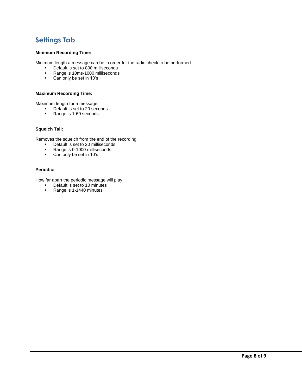### **Settings Tab**

### **Minimum Recording Time:**

Minimum length a message can be in order for the radio check to be performed.

- Default is set to 800 milliseconds<br>Range is 10ms-1000 milliseconds
- Range is 10ms-1000 milliseconds<br>Can only be set in 10's
- Can only be set in 10's

### **Maximum Recording Time:**

Maximum length for a message.

- Default is set to 20 seconds
- Range is 1-60 seconds

#### **Squelch Tail:**

Removes the squelch from the end of the recording.

- Default is set to 20 milliseconds
- Range is 0-1000 milliseconds
- Can only be set in 10's

### **Periodic:**

How far apart the periodic message will play.

- Default is set to 10 minutes<br>Range is 1-1440 minutes
- Range is 1-1440 minutes